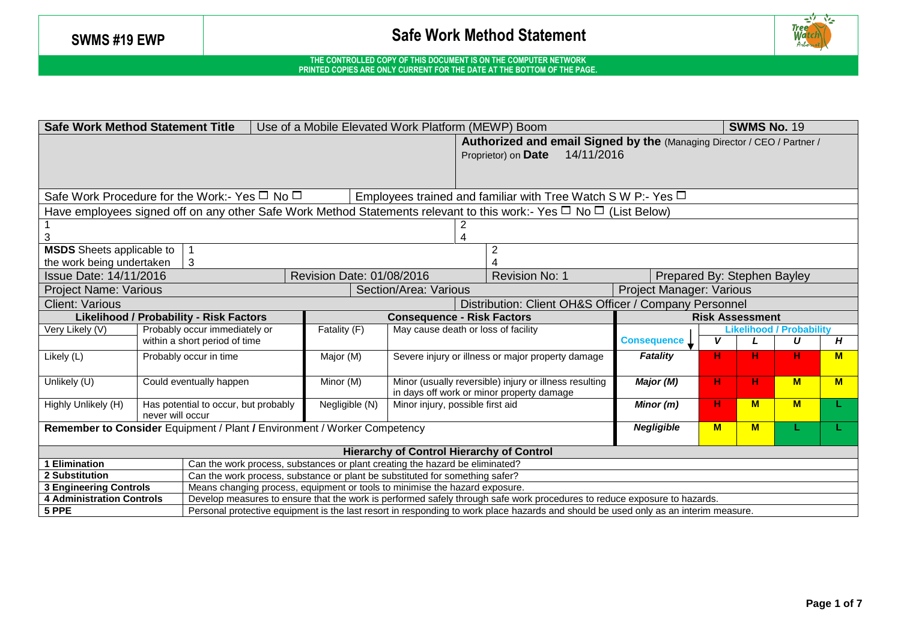

| <b>SWMS No. 19</b><br><b>Safe Work Method Statement Title</b><br>Use of a Mobile Elevated Work Platform (MEWP) Boom |                                                                                                                                     |                                                                              |                           |                                           |                                                                                                                              |                                 |    |                                      |          |   |
|---------------------------------------------------------------------------------------------------------------------|-------------------------------------------------------------------------------------------------------------------------------------|------------------------------------------------------------------------------|---------------------------|-------------------------------------------|------------------------------------------------------------------------------------------------------------------------------|---------------------------------|----|--------------------------------------|----------|---|
|                                                                                                                     |                                                                                                                                     |                                                                              |                           |                                           | Authorized and email Signed by the (Managing Director / CEO / Partner /<br>14/11/2016<br>Proprietor) on Date                 |                                 |    |                                      |          |   |
|                                                                                                                     | Safe Work Procedure for the Work:- Yes $\Box$ No $\Box$<br>Employees trained and familiar with Tree Watch S W P:- Yes $\Box$        |                                                                              |                           |                                           |                                                                                                                              |                                 |    |                                      |          |   |
|                                                                                                                     |                                                                                                                                     |                                                                              |                           |                                           | Have employees signed off on any other Safe Work Method Statements relevant to this work:- Yes $\Box$ No $\Box$ (List Below) |                                 |    |                                      |          |   |
|                                                                                                                     |                                                                                                                                     |                                                                              |                           |                                           |                                                                                                                              |                                 |    |                                      |          |   |
| <b>MSDS</b> Sheets applicable to                                                                                    |                                                                                                                                     |                                                                              |                           |                                           | $\overline{2}$                                                                                                               |                                 |    |                                      |          |   |
| the work being undertaken                                                                                           |                                                                                                                                     | 3                                                                            |                           |                                           |                                                                                                                              |                                 |    |                                      |          |   |
| <b>Issue Date: 14/11/2016</b>                                                                                       |                                                                                                                                     |                                                                              | Revision Date: 01/08/2016 |                                           | Revision No: 1                                                                                                               | Prepared By: Stephen Bayley     |    |                                      |          |   |
| <b>Project Name: Various</b>                                                                                        |                                                                                                                                     |                                                                              |                           | Section/Area: Various                     |                                                                                                                              | <b>Project Manager: Various</b> |    |                                      |          |   |
| <b>Client: Various</b>                                                                                              |                                                                                                                                     |                                                                              |                           |                                           | Distribution: Client OH&S Officer / Company Personnel                                                                        |                                 |    |                                      |          |   |
|                                                                                                                     |                                                                                                                                     | <b>Likelihood / Probability - Risk Factors</b>                               |                           | <b>Consequence - Risk Factors</b>         |                                                                                                                              | <b>Risk Assessment</b>          |    |                                      |          |   |
| Very Likely (V)                                                                                                     | Probably occur immediately or<br>within a short period of time                                                                      |                                                                              | Fatality (F)              | May cause death or loss of facility       | <b>Consequence</b>                                                                                                           | V                               |    | <b>Likelihood / Probability</b><br>U | H        |   |
| Likely (L)                                                                                                          |                                                                                                                                     | Probably occur in time                                                       | Major (M)                 |                                           | Severe injury or illness or major property damage                                                                            | <b>Fatality</b>                 | н  | н                                    | н.       | M |
| Unlikely (U)                                                                                                        |                                                                                                                                     | Could eventually happen                                                      | Minor (M)                 | in days off work or minor property damage | Minor (usually reversible) injury or illness resulting                                                                       | Major (M)                       | н. | н                                    | <b>M</b> | M |
| Highly Unlikely (H)                                                                                                 | never will occur                                                                                                                    | Has potential to occur, but probably                                         | Negligible (N)            | Minor injury, possible first aid          | Minor (m)                                                                                                                    | н                               | M  | M                                    |          |   |
| <b>Negligible</b><br>M<br>Remember to Consider Equipment / Plant / Environment / Worker Competency<br>M             |                                                                                                                                     |                                                                              |                           |                                           |                                                                                                                              |                                 |    |                                      |          |   |
| <b>Hierarchy of Control Hierarchy of Control</b>                                                                    |                                                                                                                                     |                                                                              |                           |                                           |                                                                                                                              |                                 |    |                                      |          |   |
| 1 Elimination<br>Can the work process, substances or plant creating the hazard be eliminated?                       |                                                                                                                                     |                                                                              |                           |                                           |                                                                                                                              |                                 |    |                                      |          |   |
| <b>2 Substitution</b>                                                                                               |                                                                                                                                     | Can the work process, substance or plant be substituted for something safer? |                           |                                           |                                                                                                                              |                                 |    |                                      |          |   |
| <b>3 Engineering Controls</b>                                                                                       |                                                                                                                                     | Means changing process, equipment or tools to minimise the hazard exposure.  |                           |                                           |                                                                                                                              |                                 |    |                                      |          |   |
| <b>4 Administration Controls</b>                                                                                    |                                                                                                                                     |                                                                              |                           |                                           | Develop measures to ensure that the work is performed safely through safe work procedures to reduce exposure to hazards.     |                                 |    |                                      |          |   |
| 5 PPE                                                                                                               | Personal protective equipment is the last resort in responding to work place hazards and should be used only as an interim measure. |                                                                              |                           |                                           |                                                                                                                              |                                 |    |                                      |          |   |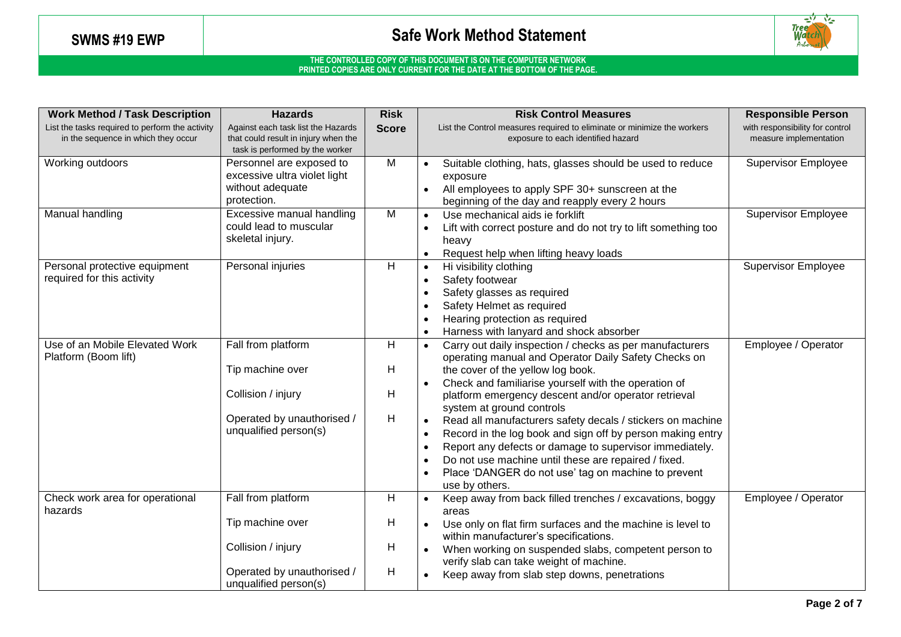

| <b>Work Method / Task Description</b>                                                  | <b>Hazards</b>                                                                                                      | <b>Risk</b>      | <b>Risk Control Measures</b>                                                                                                                                                                                                                                                                                                                                                                                                                                                                                                                                                                                                            | <b>Responsible Person</b>                                 |
|----------------------------------------------------------------------------------------|---------------------------------------------------------------------------------------------------------------------|------------------|-----------------------------------------------------------------------------------------------------------------------------------------------------------------------------------------------------------------------------------------------------------------------------------------------------------------------------------------------------------------------------------------------------------------------------------------------------------------------------------------------------------------------------------------------------------------------------------------------------------------------------------------|-----------------------------------------------------------|
| List the tasks required to perform the activity<br>in the sequence in which they occur | Against each task list the Hazards<br>that could result in injury when the<br>task is performed by the worker       | <b>Score</b>     | List the Control measures required to eliminate or minimize the workers<br>exposure to each identified hazard                                                                                                                                                                                                                                                                                                                                                                                                                                                                                                                           | with responsibility for control<br>measure implementation |
| Working outdoors                                                                       | Personnel are exposed to<br>excessive ultra violet light<br>without adequate<br>protection.                         | M                | Suitable clothing, hats, glasses should be used to reduce<br>exposure<br>All employees to apply SPF 30+ sunscreen at the<br>beginning of the day and reapply every 2 hours                                                                                                                                                                                                                                                                                                                                                                                                                                                              | <b>Supervisor Employee</b>                                |
| Manual handling                                                                        | Excessive manual handling<br>could lead to muscular<br>skeletal injury.                                             | $\overline{M}$   | Use mechanical aids ie forklift<br>Lift with correct posture and do not try to lift something too<br>heavy<br>Request help when lifting heavy loads                                                                                                                                                                                                                                                                                                                                                                                                                                                                                     | <b>Supervisor Employee</b>                                |
| Personal protective equipment<br>required for this activity                            | Personal injuries                                                                                                   | H                | Hi visibility clothing<br>Safety footwear<br>Safety glasses as required<br>Safety Helmet as required<br>Hearing protection as required<br>Harness with lanyard and shock absorber                                                                                                                                                                                                                                                                                                                                                                                                                                                       | <b>Supervisor Employee</b>                                |
| Use of an Mobile Elevated Work<br>Platform (Boom lift)                                 | Fall from platform<br>Tip machine over<br>Collision / injury<br>Operated by unauthorised /<br>unqualified person(s) | H<br>Н<br>H<br>H | Carry out daily inspection / checks as per manufacturers<br>$\bullet$<br>operating manual and Operator Daily Safety Checks on<br>the cover of the yellow log book.<br>Check and familiarise yourself with the operation of<br>platform emergency descent and/or operator retrieval<br>system at ground controls<br>Read all manufacturers safety decals / stickers on machine<br>Record in the log book and sign off by person making entry<br>Report any defects or damage to supervisor immediately.<br>Do not use machine until these are repaired / fixed.<br>Place 'DANGER do not use' tag on machine to prevent<br>use by others. | Employee / Operator                                       |
| Check work area for operational<br>hazards                                             | Fall from platform<br>Tip machine over<br>Collision / injury<br>Operated by unauthorised /<br>unqualified person(s) | H<br>H<br>H<br>H | Keep away from back filled trenches / excavations, boggy<br>$\bullet$<br>areas<br>Use only on flat firm surfaces and the machine is level to<br>within manufacturer's specifications.<br>When working on suspended slabs, competent person to<br>verify slab can take weight of machine.<br>Keep away from slab step downs, penetrations                                                                                                                                                                                                                                                                                                | Employee / Operator                                       |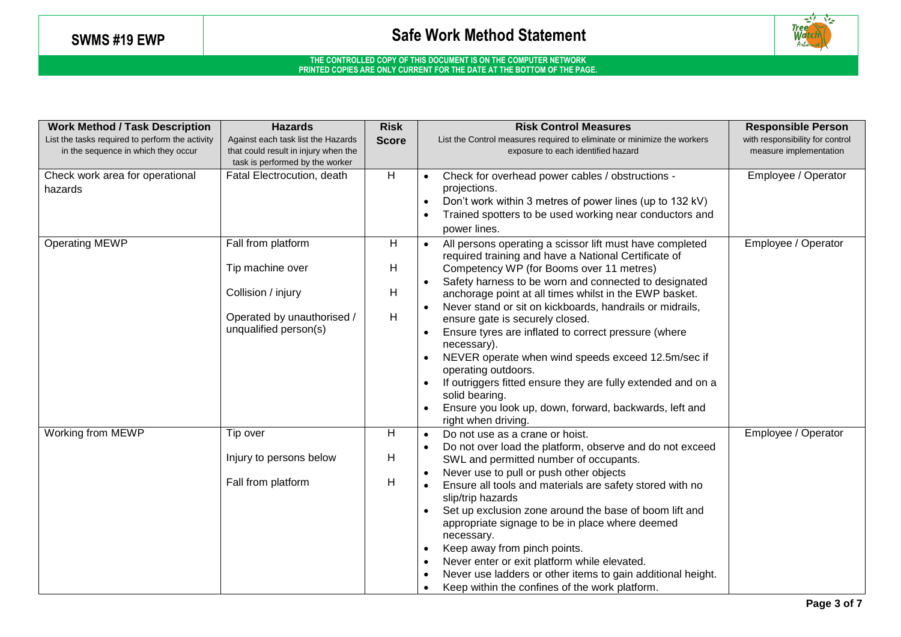

| <b>Work Method / Task Description</b>                                                  | <b>Hazards</b>                                                                                                      | <b>Risk</b>      | <b>Risk Control Measures</b>                                                                                                                                                                                                                                                                                                                                                                                                                                                                                                                                                                                                                                                                          | <b>Responsible Person</b>                                 |
|----------------------------------------------------------------------------------------|---------------------------------------------------------------------------------------------------------------------|------------------|-------------------------------------------------------------------------------------------------------------------------------------------------------------------------------------------------------------------------------------------------------------------------------------------------------------------------------------------------------------------------------------------------------------------------------------------------------------------------------------------------------------------------------------------------------------------------------------------------------------------------------------------------------------------------------------------------------|-----------------------------------------------------------|
| List the tasks required to perform the activity<br>in the sequence in which they occur | Against each task list the Hazards<br>that could result in injury when the<br>task is performed by the worker       | <b>Score</b>     | List the Control measures required to eliminate or minimize the workers<br>exposure to each identified hazard                                                                                                                                                                                                                                                                                                                                                                                                                                                                                                                                                                                         | with responsibility for control<br>measure implementation |
| Check work area for operational<br>hazards                                             | Fatal Electrocution, death                                                                                          | H                | Check for overhead power cables / obstructions -<br>projections.<br>Don't work within 3 metres of power lines (up to 132 kV)<br>Trained spotters to be used working near conductors and<br>power lines.                                                                                                                                                                                                                                                                                                                                                                                                                                                                                               | Employee / Operator                                       |
| <b>Operating MEWP</b>                                                                  | Fall from platform<br>Tip machine over<br>Collision / injury<br>Operated by unauthorised /<br>unqualified person(s) | Н<br>н<br>Н<br>H | All persons operating a scissor lift must have completed<br>required training and have a National Certificate of<br>Competency WP (for Booms over 11 metres)<br>Safety harness to be worn and connected to designated<br>anchorage point at all times whilst in the EWP basket.<br>Never stand or sit on kickboards, handrails or midrails,<br>ensure gate is securely closed.<br>Ensure tyres are inflated to correct pressure (where<br>necessary).<br>NEVER operate when wind speeds exceed 12.5m/sec if<br>operating outdoors.<br>If outriggers fitted ensure they are fully extended and on a<br>solid bearing.<br>Ensure you look up, down, forward, backwards, left and<br>right when driving. | Employee / Operator                                       |
| <b>Working from MEWP</b>                                                               | Tip over<br>Injury to persons below<br>Fall from platform                                                           | H<br>H<br>H      | Do not use as a crane or hoist.<br>$\bullet$<br>Do not over load the platform, observe and do not exceed<br>SWL and permitted number of occupants.<br>Never use to pull or push other objects<br>Ensure all tools and materials are safety stored with no<br>slip/trip hazards<br>Set up exclusion zone around the base of boom lift and<br>appropriate signage to be in place where deemed<br>necessary.<br>Keep away from pinch points.<br>Never enter or exit platform while elevated.<br>Never use ladders or other items to gain additional height.<br>Keep within the confines of the work platform.                                                                                            | Employee / Operator                                       |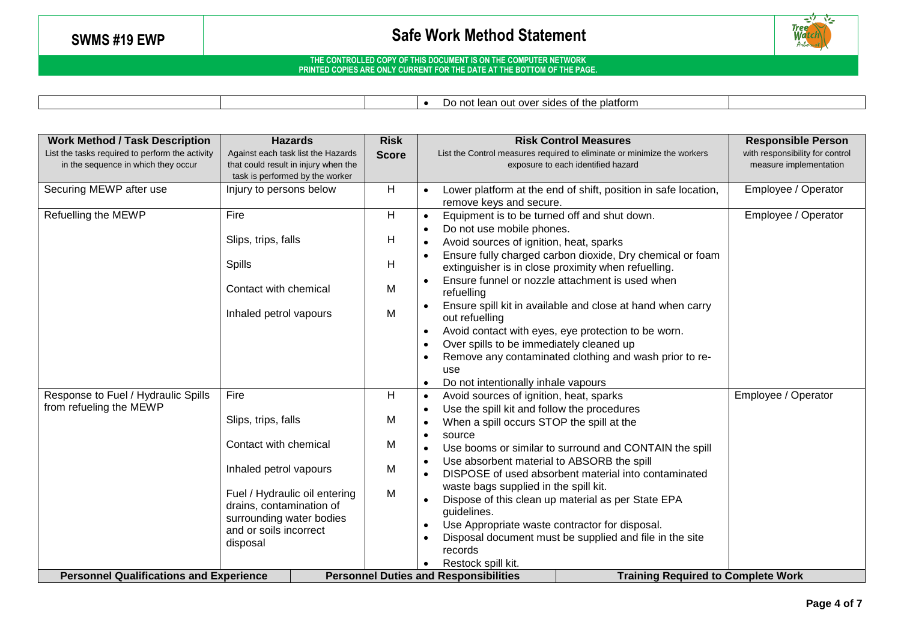

|  | platform ؛<br>f the<br>DΩ<br>side:<br>. out over<br>102<br>ΩT<br>ludi. |  |
|--|------------------------------------------------------------------------|--|
|  |                                                                        |  |

| <b>Work Method / Task Description</b><br><b>Hazards</b>                                |                                                                            | <b>Risk</b>                                  | <b>Risk Control Measures</b>                                                                                  |                                                                                                                  | <b>Responsible Person</b>                                 |  |
|----------------------------------------------------------------------------------------|----------------------------------------------------------------------------|----------------------------------------------|---------------------------------------------------------------------------------------------------------------|------------------------------------------------------------------------------------------------------------------|-----------------------------------------------------------|--|
| List the tasks required to perform the activity<br>in the sequence in which they occur | Against each task list the Hazards<br>that could result in injury when the | <b>Score</b>                                 | List the Control measures required to eliminate or minimize the workers<br>exposure to each identified hazard |                                                                                                                  | with responsibility for control<br>measure implementation |  |
|                                                                                        | task is performed by the worker                                            |                                              |                                                                                                               |                                                                                                                  |                                                           |  |
| Securing MEWP after use                                                                | Injury to persons below                                                    | H                                            |                                                                                                               | Lower platform at the end of shift, position in safe location,<br>remove keys and secure.                        | Employee / Operator                                       |  |
| Refuelling the MEWP                                                                    | Fire                                                                       | H                                            |                                                                                                               | Equipment is to be turned off and shut down.                                                                     | Employee / Operator                                       |  |
|                                                                                        |                                                                            |                                              |                                                                                                               | Do not use mobile phones.                                                                                        |                                                           |  |
|                                                                                        | Slips, trips, falls                                                        | Н                                            |                                                                                                               | Avoid sources of ignition, heat, sparks                                                                          |                                                           |  |
|                                                                                        |                                                                            |                                              |                                                                                                               |                                                                                                                  |                                                           |  |
|                                                                                        | <b>Spills</b>                                                              | Н                                            |                                                                                                               | Ensure fully charged carbon dioxide, Dry chemical or foam<br>extinguisher is in close proximity when refuelling. |                                                           |  |
|                                                                                        |                                                                            |                                              |                                                                                                               | Ensure funnel or nozzle attachment is used when                                                                  |                                                           |  |
|                                                                                        | Contact with chemical                                                      | M                                            |                                                                                                               | refuelling                                                                                                       |                                                           |  |
|                                                                                        |                                                                            |                                              |                                                                                                               | Ensure spill kit in available and close at hand when carry                                                       |                                                           |  |
|                                                                                        | Inhaled petrol vapours                                                     | M                                            |                                                                                                               | out refuelling                                                                                                   |                                                           |  |
|                                                                                        |                                                                            |                                              |                                                                                                               | Avoid contact with eyes, eye protection to be worn.                                                              |                                                           |  |
|                                                                                        |                                                                            |                                              |                                                                                                               | Over spills to be immediately cleaned up                                                                         |                                                           |  |
|                                                                                        |                                                                            |                                              |                                                                                                               | Remove any contaminated clothing and wash prior to re-                                                           |                                                           |  |
|                                                                                        |                                                                            |                                              |                                                                                                               | use                                                                                                              |                                                           |  |
|                                                                                        |                                                                            |                                              |                                                                                                               | Do not intentionally inhale vapours                                                                              |                                                           |  |
| Response to Fuel / Hydraulic Spills                                                    | Fire                                                                       | H                                            | $\bullet$                                                                                                     | Avoid sources of ignition, heat, sparks                                                                          | Employee / Operator                                       |  |
| from refueling the MEWP                                                                |                                                                            |                                              |                                                                                                               | Use the spill kit and follow the procedures                                                                      |                                                           |  |
|                                                                                        | Slips, trips, falls                                                        | M                                            |                                                                                                               | When a spill occurs STOP the spill at the                                                                        |                                                           |  |
|                                                                                        |                                                                            |                                              | $\bullet$                                                                                                     | source                                                                                                           |                                                           |  |
|                                                                                        | Contact with chemical                                                      | M                                            |                                                                                                               | Use booms or similar to surround and CONTAIN the spill                                                           |                                                           |  |
|                                                                                        | Inhaled petrol vapours                                                     | M                                            |                                                                                                               | Use absorbent material to ABSORB the spill                                                                       |                                                           |  |
|                                                                                        |                                                                            |                                              |                                                                                                               | DISPOSE of used absorbent material into contaminated                                                             |                                                           |  |
|                                                                                        | Fuel / Hydraulic oil entering                                              | M                                            |                                                                                                               | waste bags supplied in the spill kit.                                                                            |                                                           |  |
|                                                                                        | drains, contamination of                                                   |                                              |                                                                                                               | Dispose of this clean up material as per State EPA                                                               |                                                           |  |
|                                                                                        | surrounding water bodies                                                   |                                              |                                                                                                               | guidelines.                                                                                                      |                                                           |  |
|                                                                                        | and or soils incorrect                                                     |                                              |                                                                                                               | Use Appropriate waste contractor for disposal.                                                                   |                                                           |  |
|                                                                                        | disposal                                                                   |                                              |                                                                                                               | Disposal document must be supplied and file in the site<br>records                                               |                                                           |  |
|                                                                                        |                                                                            |                                              |                                                                                                               | Restock spill kit.                                                                                               |                                                           |  |
| <b>Personnel Qualifications and Experience</b>                                         |                                                                            | <b>Personnel Duties and Responsibilities</b> |                                                                                                               |                                                                                                                  | <b>Training Required to Complete Work</b>                 |  |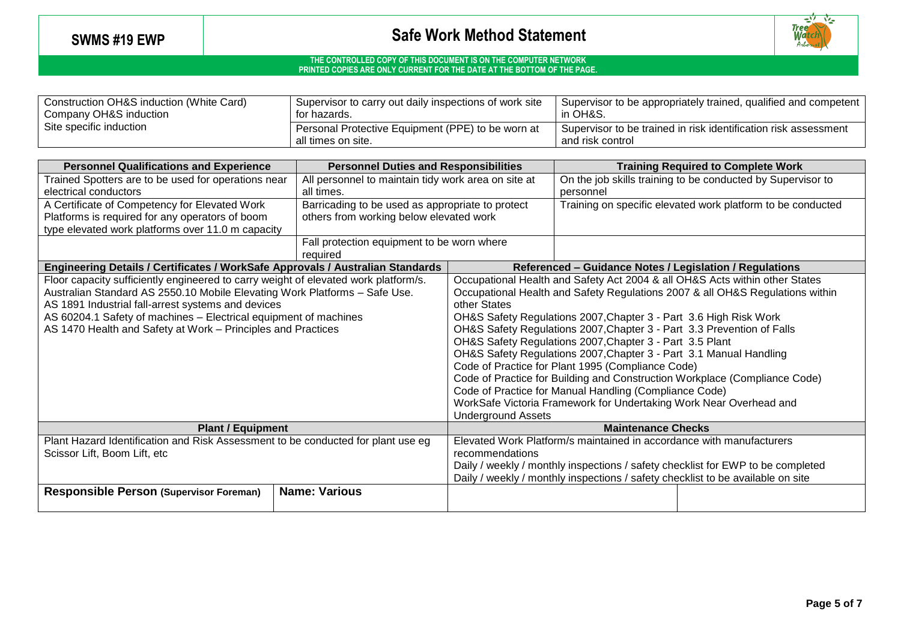

| Construction OH&S induction (White Card) | Supervisor to carry out daily inspections of work site                  | <sup>1</sup> Supervisor to be appropriately trained, qualified and competent        |  |  |
|------------------------------------------|-------------------------------------------------------------------------|-------------------------------------------------------------------------------------|--|--|
| Company OH&S induction                   | for hazards.                                                            | in OH&S.                                                                            |  |  |
| Site specific induction                  | Personal Protective Equipment (PPE) to be worn at<br>all times on site. | Supervisor to be trained in risk identification risk assessment<br>and risk control |  |  |

| <b>Personnel Qualifications and Experience</b>                                                                                                                                                                                                                                                                                                              | <b>Personnel Duties and Responsibilities</b>                                                                                                                                                                                                                                                                                                                                                                                                                                                                                                                                                                                                                                                                                                                  | <b>Training Required to Complete Work</b>                                |                                                             |  |  |
|-------------------------------------------------------------------------------------------------------------------------------------------------------------------------------------------------------------------------------------------------------------------------------------------------------------------------------------------------------------|---------------------------------------------------------------------------------------------------------------------------------------------------------------------------------------------------------------------------------------------------------------------------------------------------------------------------------------------------------------------------------------------------------------------------------------------------------------------------------------------------------------------------------------------------------------------------------------------------------------------------------------------------------------------------------------------------------------------------------------------------------------|--------------------------------------------------------------------------|-------------------------------------------------------------|--|--|
| Trained Spotters are to be used for operations near<br>electrical conductors                                                                                                                                                                                                                                                                                | All personnel to maintain tidy work area on site at                                                                                                                                                                                                                                                                                                                                                                                                                                                                                                                                                                                                                                                                                                           | On the job skills training to be conducted by Supervisor to<br>personnel |                                                             |  |  |
| A Certificate of Competency for Elevated Work<br>Platforms is required for any operators of boom<br>type elevated work platforms over 11.0 m capacity                                                                                                                                                                                                       | Barricading to be used as appropriate to protect<br>others from working below elevated work                                                                                                                                                                                                                                                                                                                                                                                                                                                                                                                                                                                                                                                                   |                                                                          | Training on specific elevated work platform to be conducted |  |  |
|                                                                                                                                                                                                                                                                                                                                                             | Fall protection equipment to be worn where<br>required                                                                                                                                                                                                                                                                                                                                                                                                                                                                                                                                                                                                                                                                                                        |                                                                          |                                                             |  |  |
| Engineering Details / Certificates / WorkSafe Approvals / Australian Standards                                                                                                                                                                                                                                                                              |                                                                                                                                                                                                                                                                                                                                                                                                                                                                                                                                                                                                                                                                                                                                                               |                                                                          | Referenced - Guidance Notes / Legislation / Regulations     |  |  |
| Floor capacity sufficiently engineered to carry weight of elevated work platform/s.<br>Australian Standard AS 2550.10 Mobile Elevating Work Platforms - Safe Use.<br>AS 1891 Industrial fall-arrest systems and devices<br>AS 60204.1 Safety of machines - Electrical equipment of machines<br>AS 1470 Health and Safety at Work - Principles and Practices | Occupational Health and Safety Act 2004 & all OH&S Acts within other States<br>Occupational Health and Safety Regulations 2007 & all OH&S Regulations within<br>other States<br>OH&S Safety Regulations 2007, Chapter 3 - Part 3.6 High Risk Work<br>OH&S Safety Regulations 2007, Chapter 3 - Part 3.3 Prevention of Falls<br>OH&S Safety Regulations 2007, Chapter 3 - Part 3.5 Plant<br>OH&S Safety Regulations 2007, Chapter 3 - Part 3.1 Manual Handling<br>Code of Practice for Plant 1995 (Compliance Code)<br>Code of Practice for Building and Construction Workplace (Compliance Code)<br>Code of Practice for Manual Handling (Compliance Code)<br>WorkSafe Victoria Framework for Undertaking Work Near Overhead and<br><b>Underground Assets</b> |                                                                          |                                                             |  |  |
| <b>Plant / Equipment</b>                                                                                                                                                                                                                                                                                                                                    |                                                                                                                                                                                                                                                                                                                                                                                                                                                                                                                                                                                                                                                                                                                                                               | <b>Maintenance Checks</b>                                                |                                                             |  |  |
| Plant Hazard Identification and Risk Assessment to be conducted for plant use eg<br>Scissor Lift, Boom Lift, etc<br><b>Responsible Person (Supervisor Foreman)</b>                                                                                                                                                                                          | Elevated Work Platform/s maintained in accordance with manufacturers<br>recommendations<br>Daily / weekly / monthly inspections / safety checklist for EWP to be completed<br>Daily / weekly / monthly inspections / safety checklist to be available on site                                                                                                                                                                                                                                                                                                                                                                                                                                                                                                 |                                                                          |                                                             |  |  |
|                                                                                                                                                                                                                                                                                                                                                             | <b>Name: Various</b>                                                                                                                                                                                                                                                                                                                                                                                                                                                                                                                                                                                                                                                                                                                                          |                                                                          |                                                             |  |  |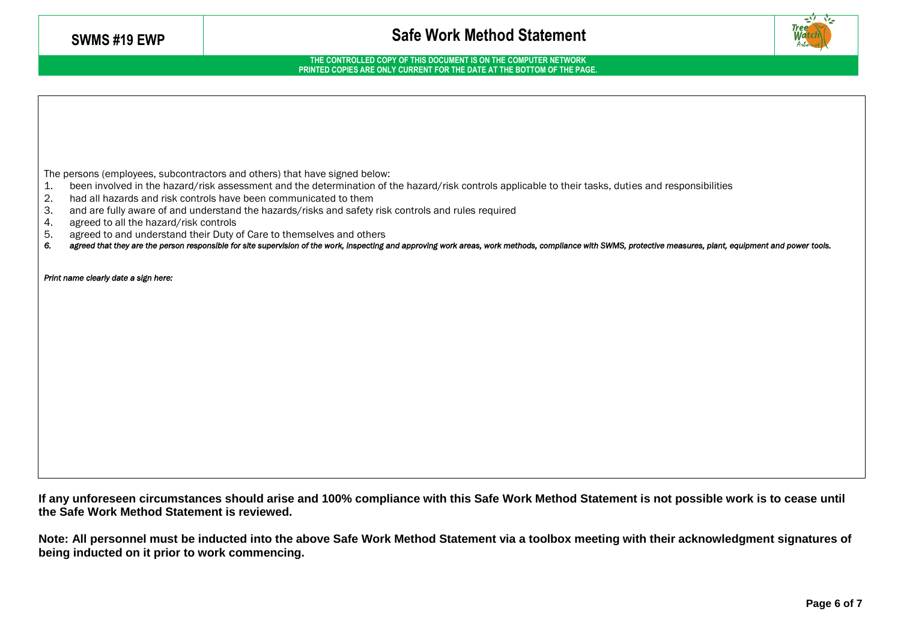**THE CONTROLLED COPY OF THIS DOCUMENT IS ON THE COMPUTER NETWORK PRINTED COPIES ARE ONLY CURRENT FOR THE DATE AT THE BOTTOM OF THE PAGE.**

The persons (employees, subcontractors and others) that have signed below:

- 1. been involved in the hazard/risk assessment and the determination of the hazard/risk controls applicable to their tasks, duties and responsibilities
- 2. had all hazards and risk controls have been communicated to them
- 3. and are fully aware of and understand the hazards/risks and safety risk controls and rules required
- 4. agreed to all the hazard/risk controls
- 5. agreed to and understand their Duty of Care to themselves and others
- *6. agreed that they are the person responsible for site supervision of the work, inspecting and approving work areas, work methods, compliance with SWMS, protective measures, plant, equipment and power tools.*

*Print name clearly date a sign here:* 

**If any unforeseen circumstances should arise and 100% compliance with this Safe Work Method Statement is not possible work is to cease until the Safe Work Method Statement is reviewed.**

**Note: All personnel must be inducted into the above Safe Work Method Statement via a toolbox meeting with their acknowledgment signatures of being inducted on it prior to work commencing.**